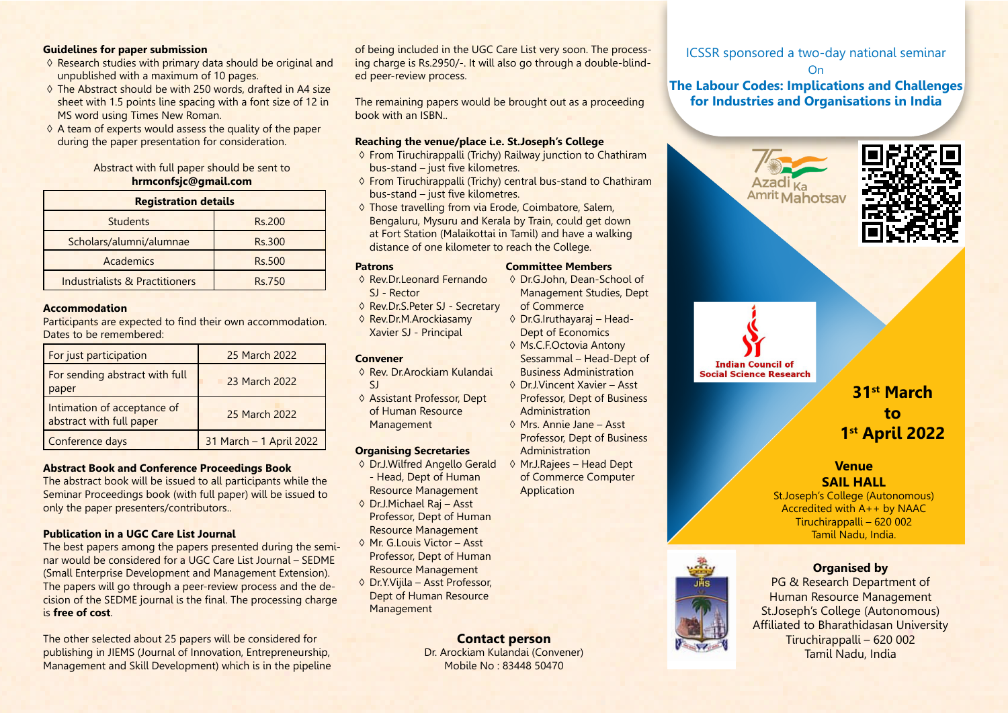# **Guidelines for paper submission**

- ◊ Research studies with primary data should be original and unpublished with a maximum of 10 pages.
- $\diamond$  The Abstract should be with 250 words, drafted in A4 size sheet with 1.5 points line spacing with a font size of 12 in MS word using Times New Roman.
- $\diamond$  A team of experts would assess the quality of the paper during the paper presentation for consideration.

# Abstract with full paper should be sent to **hrmconfsjc@gmail.com**

| <b>Registration details</b>    |               |
|--------------------------------|---------------|
| <b>Students</b>                | Rs.200        |
| Scholars/alumni/alumnae        | <b>Rs.300</b> |
| Academics                      | <b>Rs.500</b> |
| Industrialists & Practitioners | Rs.750        |

# **Accommodation**

Participants are expected to find their own accommodation. Dates to be remembered:

| For just participation                                  | 25 March 2022           |
|---------------------------------------------------------|-------------------------|
| For sending abstract with full<br>paper                 | 23 March 2022           |
| Intimation of acceptance of<br>abstract with full paper | 25 March 2022           |
| Conference days                                         | 31 March - 1 April 2022 |

### **Abstract Book and Conference Proceedings Book**

The abstract book will be issued to all participants while the Seminar Proceedings book (with full paper) will be issued to only the paper presenters/contributors..

# **Publication in a UGC Care List Journal**

The best papers among the papers presented during the seminar would be considered for a UGC Care List Journal – SEDME (Small Enterprise Development and Management Extension). The papers will go through a peer-review process and the decision of the SEDME journal is the final. The processing charge is **free of cost**.

The other selected about 25 papers will be considered for publishing in JIEMS (Journal of Innovation, Entrepreneurship, Management and Skill Development) which is in the pipeline of being included in the UGC Care List very soon. The processing charge is Rs.2950/-. It will also go through a double-blinded peer-review process.

The remaining papers would be brought out as a proceeding book with an ISBN..

#### **Reaching the venue/place i.e. St.Joseph's College**

- ◊ From Tiruchirappalli (Trichy) Railway junction to Chathiram bus-stand – just five kilometres.
- ◊ From Tiruchirappalli (Trichy) central bus-stand to Chathiram bus-stand – just five kilometres.
- ◊ Those travelling from via Erode, Coimbatore, Salem, Bengaluru, Mysuru and Kerala by Train, could get down at Fort Station (Malaikottai in Tamil) and have a walking distance of one kilometer to reach the College.

# **Patrons**

- ◊ Rev.Dr.Leonard Fernando SJ - Rector
- ◊ Rev.Dr.S.Peter SJ Secretary
- ◊ Rev.Dr.M.Arockiasamy Xavier SJ - Principal

#### **Convener**

- ◊ Rev. Dr.Arockiam Kulandai  $\overline{S}$
- ◊ Assistant Professor, Dept of Human Resource Management

#### **Organising Secretaries**

- ◊ Dr.J.Wilfred Angello Gerald - Head, Dept of Human Resource Management
- ◊ Dr.J.Michael Raj Asst Professor, Dept of Human Resource Management
- ◊ Mr. G.Louis Victor Asst Professor, Dept of Human Resource Management
- ◊ Dr.Y.Vijila Asst Professor, Dept of Human Resource **Management**

**Contact person** Dr. Arockiam Kulandai (Convener) Mobile No : 83448 50470

ICSSR sponsored a two-day national seminar On

# **The Labour Codes: Implications and Challenges for Industries and Organisations in India**





**Indian Council of Social Science Research** 

# **31st March to 1st April 2022**

# **Venue SAIL HALL**

St.Joseph's College (Autonomous) Accredited with A++ by NAAC Tiruchirappalli – 620 002 Tamil Nadu, India.



PG & Research Department of Human Resource Management St.Joseph's College (Autonomous) Affiliated to Bharathidasan University Tiruchirappalli – 620 002 Tamil Nadu, India

# Professor, Dept of Business Administration ◊ Mr.J.Rajees – Head Dept of Commerce Computer Application

**Committee Members** ◊ Dr.G.John, Dean-School of Management Studies, Dept

of Commerce ◊ Dr.G.Iruthayaraj – Head-Dept of Economics ◊ Ms.C.F.Octovia Antony Sessammal – Head-Dept of Business Administration ◊ Dr.J.Vincent Xavier – Asst Professor, Dept of Business

**Administration** ◊ Mrs. Annie Jane – Asst